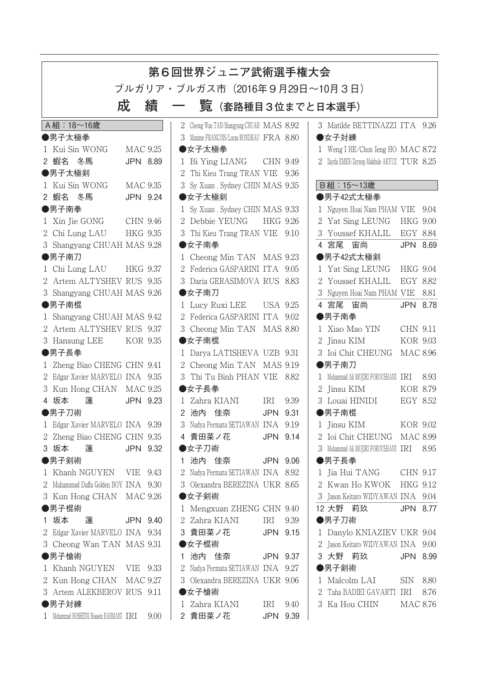| 第6回世界ジュニア武術選手権大会                                                                                                                           |                             |  |  |  |  |  |  |  |  |
|--------------------------------------------------------------------------------------------------------------------------------------------|-----------------------------|--|--|--|--|--|--|--|--|
| ブルガリア・ブルガス市(2016年9月29日〜10月3日)                                                                                                              |                             |  |  |  |  |  |  |  |  |
| 成<br>績<br>覧 (套路種目3位までと日本選手)                                                                                                                |                             |  |  |  |  |  |  |  |  |
| A組: 18~16歳<br>3 Matilde BETTINAZZI ITA 9.26<br>2 Cheong Wan TAN/Shangyang CHUAH MAS 8.92                                                   |                             |  |  |  |  |  |  |  |  |
| ●男子太極拳<br>3 Maxime FRANCOIS/Lucas RONDEAU FRA 8.80<br>●女子対練                                                                                |                             |  |  |  |  |  |  |  |  |
| 1 Kui Sin WONG<br><b>MAC 9.25</b><br>●女子太極拳<br>1 Weng I HE/Chon Ieng HO MAC 8.72                                                           |                             |  |  |  |  |  |  |  |  |
| 2 蝦名 冬馬<br>JPN 8.89<br>2 Ilayda EMEN/Zeynep Makbule AKYUZ TUR 8.25<br>1 Bi Ying LIANG<br>CHN 9.49                                          |                             |  |  |  |  |  |  |  |  |
| ●男子太極剣<br>Thi Kieu Trang TRAN VIE 9.36<br>2                                                                                                |                             |  |  |  |  |  |  |  |  |
| B組: 15~13歳<br>1 Kui Sin WONG<br>3 Sy Xuan . Sydney CHIN MAS 9.35<br><b>MAC 9.35</b>                                                        |                             |  |  |  |  |  |  |  |  |
| 2 蝦名 冬馬<br>●女子太極剣<br>●男子42式太極拳<br>JPN 9.24                                                                                                 |                             |  |  |  |  |  |  |  |  |
| ●男子南拳<br>1 Sy Xuan . Sydney CHIN MAS 9.33<br>1 Nguyen Hoai Nam PHAM VIE 9.04                                                               |                             |  |  |  |  |  |  |  |  |
| 2 Debbie YEUNG<br>2 Yat Sing LEUNG<br>1 Xin Jie GONG<br>CHN 9.46<br>HKG 9.26                                                               | <b>HKG 9.00</b>             |  |  |  |  |  |  |  |  |
| 2 Chi Lung LAU<br>3 Youssef KHALIL<br>HKG 9.35<br>3 Thi Kieu Trang TRAN VIE 9.10                                                           | EGY 8.84                    |  |  |  |  |  |  |  |  |
| ●女子南拳<br>4 宮尾 宙尚<br>3 Shangyang CHUAH MAS 9.28                                                                                             | JPN 8.69                    |  |  |  |  |  |  |  |  |
| ●男子42式太極剣<br>●男子南刀<br>1 Cheong Min TAN MAS 9.23                                                                                            |                             |  |  |  |  |  |  |  |  |
| 2 Federica GASPARINI ITA 9.05<br>1 Yat Sing LEUNG<br>1 Chi Lung LAU<br><b>HKG 9.37</b>                                                     | HKG 9.04                    |  |  |  |  |  |  |  |  |
| 2 Artem ALTYSHEV RUS 9.35<br>3 Daria GERASIMOVA RUS 8.83<br>Youssef KHALIL<br>$\mathcal{L}$                                                | EGY 8.82                    |  |  |  |  |  |  |  |  |
| 3 Shangyang CHUAH MAS 9.26<br>●女子南刀<br>3 Nguyen Hoai Nam PHAM VIE 8.81                                                                     |                             |  |  |  |  |  |  |  |  |
| ●男子南棍<br>4 宮尾 宙尚<br>1 Lucy Ruxi LEE<br><b>USA 9.25</b>                                                                                     | JPN 8.78                    |  |  |  |  |  |  |  |  |
| 2 Federica GASPARINI ITA 9.02<br>●男子南拳<br>1 Shangyang CHUAH MAS 9.42                                                                       |                             |  |  |  |  |  |  |  |  |
| 2 Artem ALTYSHEV RUS 9.37<br>3 Cheong Min TAN MAS 8.80<br>Xiao Mao YIN<br>$\mathbf{1}$                                                     | <b>CHN 9.11</b>             |  |  |  |  |  |  |  |  |
| 3 Hansung LEE<br><b>KOR 9.35</b><br>●女子南棍<br>2 Jinsu KIM                                                                                   | <b>KOR 9.03</b>             |  |  |  |  |  |  |  |  |
| ●男子長拳<br>3 Ioi Chit CHEUNG<br>1 Darya LATISHEVA UZB 9.31                                                                                   | <b>MAC 8.96</b>             |  |  |  |  |  |  |  |  |
| 2 Cheong Min TAN MAS 9.19<br>1 Zheng Biao CHENG CHN 9.41<br>●男子南刀                                                                          |                             |  |  |  |  |  |  |  |  |
| 2 Edgar Xavier MARVELO INA 9.35<br>3 Thi Tu Binh PHAN VIE 8.82<br>Mohammad Ali MOJIRI FOROUSHANI IRI                                       | 8.93                        |  |  |  |  |  |  |  |  |
| 3 Kun Hong CHAN<br>●女子長拳<br>2 Jinsu KIM<br><b>MAC 9.25</b>                                                                                 | <b>KOR 8.79</b>             |  |  |  |  |  |  |  |  |
| 4 坂本<br>3 Louai HINIDI<br>蓮<br>JPN 9.23<br>1 Zahra KIANI<br>9.39<br>IRI                                                                    | EGY 8.52                    |  |  |  |  |  |  |  |  |
| 2 池内<br>●男子刀術<br>佳奈<br>●男子南棍<br>JPN<br>9.31                                                                                                |                             |  |  |  |  |  |  |  |  |
| Edgar Xavier MARVELO INA 9.39<br>Nadya Permata SETIAWAN INA 9.19<br>1 Jinsu KIM                                                            | KOR 9.02                    |  |  |  |  |  |  |  |  |
| 2 Zheng Biao CHENG CHN 9.35<br>4 貴田菜ノ花<br>2 Ioi Chit CHEUNG MAC 8.99<br>JPN 9.14                                                           |                             |  |  |  |  |  |  |  |  |
| 3 坂本<br>蓮<br>JPN 9.32<br>●女子刀術<br>3 Mohammad Ali MOJIRI FOROUSHANI IRI                                                                     | 8.95                        |  |  |  |  |  |  |  |  |
| ●男子剣術<br>1 池内 佳奈<br>●男子長拳<br>JPN 9.06                                                                                                      |                             |  |  |  |  |  |  |  |  |
| Nadya Permata SETIAWAN INA 8.92<br>Khanh NGUYEN<br>1 Jia Hui TANG<br>9.43<br>VIE<br>2 Muhammad Daffa Golden BOY INA 9.30<br>2 Kwan Ho KWOK | CHN 9.17<br><b>HKG 9.12</b> |  |  |  |  |  |  |  |  |
| 3 Olexandra BEREZINA UKR 8.65                                                                                                              |                             |  |  |  |  |  |  |  |  |
| ●女子剣術<br>3 Kun Hong CHAN MAC 9.26<br>Jason Keitaro WIDYAWAN INA 9.04<br>3                                                                  |                             |  |  |  |  |  |  |  |  |
| ●男子棍術<br>12 大野 莉玖<br>1 Mengxuan ZHENG CHN 9.40<br>坂本<br>2 Zahra KIANI<br>●男子刀術<br>IRI<br>9.39<br>蓮<br>JPN 9.40                             | <b>JPN 8.77</b>             |  |  |  |  |  |  |  |  |
| 3 貴田菜ノ花<br>JPN 9.15                                                                                                                        |                             |  |  |  |  |  |  |  |  |
| 2 Edgar Xavier MARVELO INA 9.34<br>1 Danylo KNIAZIEV UKR 9.04<br>3 Cheong Wan TAN MAS 9.31<br>●女子棍術<br>Jason Keitaro WIDYAWAN INA 9.00     |                             |  |  |  |  |  |  |  |  |
| 池内 佳奈<br>3 大野 莉玖<br>●男子槍術<br>JPN 9.37<br>1                                                                                                 | <b>JPN 8.99</b>             |  |  |  |  |  |  |  |  |
| ●男子剣術<br>1 Khanh NGUYEN<br>VIE 9.33<br>Nadya Permata SETIAWAN INA 9.27                                                                     |                             |  |  |  |  |  |  |  |  |
|                                                                                                                                            |                             |  |  |  |  |  |  |  |  |
|                                                                                                                                            |                             |  |  |  |  |  |  |  |  |
| <b>MAC 9.27</b><br>3 Olexandra BEREZINA UKR 9.06<br>2 Kun Hong CHAN<br>1 Malcolm LAI                                                       | <b>SIN</b><br>8.80          |  |  |  |  |  |  |  |  |
| Taha BADIEI GAVARTI IRI<br>3 Artem ALEKBEROV RUS 9.11<br>●女子槍術<br>●男子対練<br>1 Zahra KIANI<br>3 Ka Hou CHIN<br>IRI<br>9.40                   | 8.76<br>MAC 8.76            |  |  |  |  |  |  |  |  |